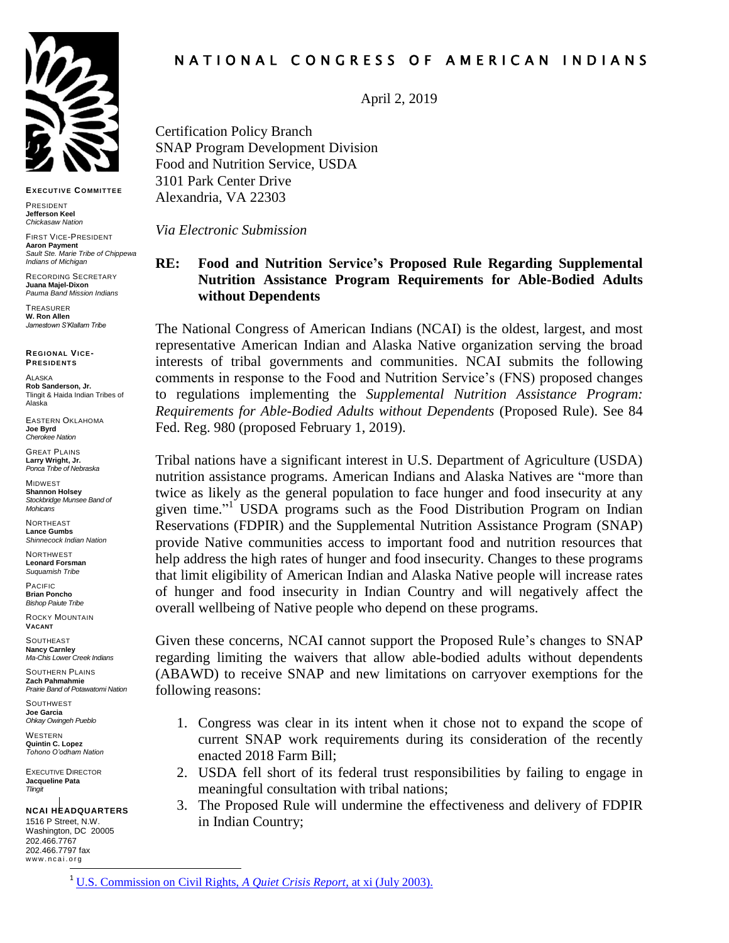

**EXECUT IVE COMMIT TEE**

PRESIDENT **Jefferson Keel** *Chickasaw Nation*

FIRST VICE-PRESIDENT **Aaron Payment** *Sault Ste. Marie Tribe of Chippewa Indians of Michigan*

RECORDING SECRETARY **Juana Majel-Dixon** *Pauma Band Mission Indians*

**TREASURER W. Ron Allen** *Jamestown S'Klallam Tribe*

**REGIONAL VICE-PRESIDENT S**

ALASKA **Rob Sanderson, Jr.** Tlingit & Haida Indian Tribes of Alaska

EASTERN OKLAHOMA **Joe Byrd** *Cherokee Nation*

GREAT PLAINS **Larry Wright, Jr.** *Ponca Tribe of Nebraska*

MIDWEST **Shannon Holsey** *Stockbridge Munsee Band of Mohicans*

NORTHEAST **Lance Gumbs** *Shinnecock Indian Nation*

**NORTHWEST Leonard Forsman** *Suquamish Tribe*

PACIFIC **Brian Poncho** *Bishop Paiute Tribe*

ROCKY MOUNTAIN **VACANT**

**SOUTHEAST Nancy Carnley** *Ma-Chis Lower Creek Indians*

SOUTHERN PLAINS **Zach Pahmahmie** *Prairie Band of Potawatomi Nation* 

**SOUTHWEST Joe Garcia** *Ohkay Owingeh Pueblo*

WESTERN **Quintin C. Lopez** *Tohono O'odham Nation*

EXECUTIVE DIRECTOR **Jacqueline Pata** *Tlingit*

**NCAI HEADQUARTERS** 1516 P Street, N.W. Washington, DC 20005 202.466.7767 202.466.7797 fax www.ncai.org<br>—

# N A T I O N A L C O N G R E S S O F A M E R I C A N I N D I A N S

April 2, 2019

Certification Policy Branch SNAP Program Development Division Food and Nutrition Service, USDA 3101 Park Center Drive Alexandria, VA 22303

*Via Electronic Submission*

# **RE: Food and Nutrition Service's Proposed Rule Regarding Supplemental Nutrition Assistance Program Requirements for Able-Bodied Adults without Dependents**

The National Congress of American Indians (NCAI) is the oldest, largest, and most representative American Indian and Alaska Native organization serving the broad interests of tribal governments and communities. NCAI submits the following comments in response to the Food and Nutrition Service's (FNS) proposed changes to regulations implementing the *Supplemental Nutrition Assistance Program: Requirements for Able-Bodied Adults without Dependents* (Proposed Rule). See 84 Fed. Reg. 980 (proposed February 1, 2019).

Tribal nations have a significant interest in U.S. Department of Agriculture (USDA) nutrition assistance programs. American Indians and Alaska Natives are "more than twice as likely as the general population to face hunger and food insecurity at any given time."<sup>1</sup> USDA programs such as the Food Distribution Program on Indian Reservations (FDPIR) and the Supplemental Nutrition Assistance Program (SNAP) provide Native communities access to important food and nutrition resources that help address the high rates of hunger and food insecurity. Changes to these programs that limit eligibility of American Indian and Alaska Native people will increase rates of hunger and food insecurity in Indian Country and will negatively affect the overall wellbeing of Native people who depend on these programs.

Given these concerns, NCAI cannot support the Proposed Rule's changes to SNAP regarding limiting the waivers that allow able-bodied adults without dependents (ABAWD) to receive SNAP and new limitations on carryover exemptions for the following reasons:

- 1. Congress was clear in its intent when it chose not to expand the scope of current SNAP work requirements during its consideration of the recently enacted 2018 Farm Bill;
- 2. USDA fell short of its federal trust responsibilities by failing to engage in meaningful consultation with tribal nations;
- 3. The Proposed Rule will undermine the effectiveness and delivery of FDPIR in Indian Country;

<sup>1</sup> [U.S. Commission on Civil Rights,](https://www.usccr.gov/pubs/na0703/na0204.pdf) *A Quiet Crisis Report*, at xi (July 2003).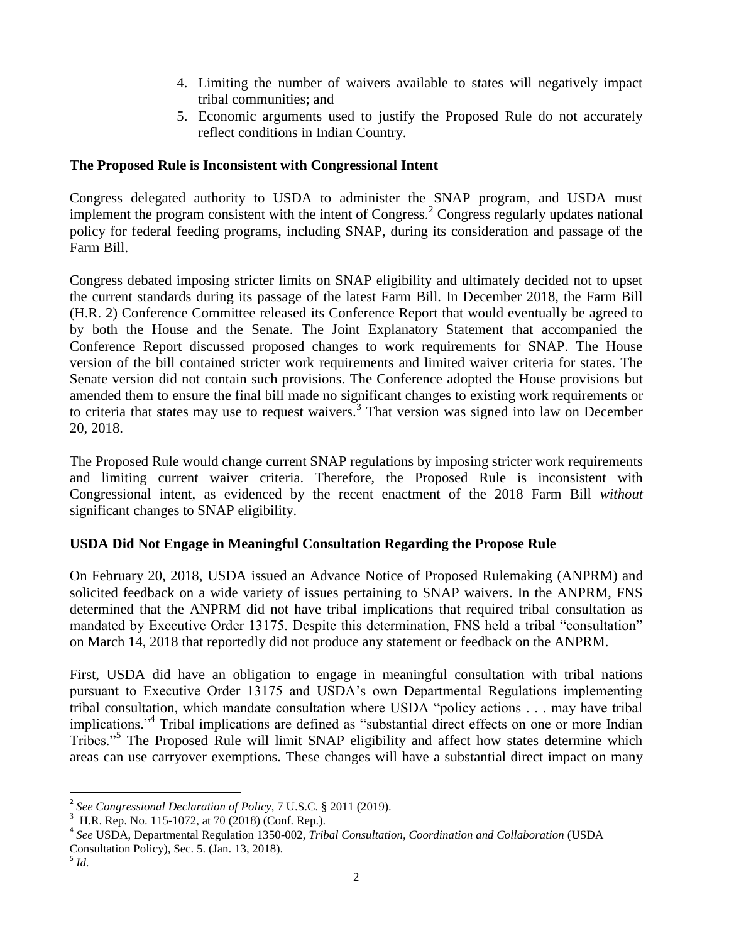- 4. Limiting the number of waivers available to states will negatively impact tribal communities; and
- 5. Economic arguments used to justify the Proposed Rule do not accurately reflect conditions in Indian Country.

#### **The Proposed Rule is Inconsistent with Congressional Intent**

Congress delegated authority to USDA to administer the SNAP program, and USDA must implement the program consistent with the intent of Congress.<sup>2</sup> Congress regularly updates national policy for federal feeding programs, including SNAP, during its consideration and passage of the Farm Bill.

Congress debated imposing stricter limits on SNAP eligibility and ultimately decided not to upset the current standards during its passage of the latest Farm Bill. In December 2018, the Farm Bill (H.R. 2) Conference Committee released its Conference Report that would eventually be agreed to by both the House and the Senate. The Joint Explanatory Statement that accompanied the Conference Report discussed proposed changes to work requirements for SNAP. The House version of the bill contained stricter work requirements and limited waiver criteria for states. The Senate version did not contain such provisions. The Conference adopted the House provisions but amended them to ensure the final bill made no significant changes to existing work requirements or to criteria that states may use to request waivers.<sup>3</sup> That version was signed into law on December 20, 2018.

The Proposed Rule would change current SNAP regulations by imposing stricter work requirements and limiting current waiver criteria. Therefore, the Proposed Rule is inconsistent with Congressional intent, as evidenced by the recent enactment of the 2018 Farm Bill *without* significant changes to SNAP eligibility.

### **USDA Did Not Engage in Meaningful Consultation Regarding the Propose Rule**

On February 20, 2018, USDA issued an Advance Notice of Proposed Rulemaking (ANPRM) and solicited feedback on a wide variety of issues pertaining to SNAP waivers. In the ANPRM, FNS determined that the ANPRM did not have tribal implications that required tribal consultation as mandated by Executive Order 13175. Despite this determination, FNS held a tribal "consultation" on March 14, 2018 that reportedly did not produce any statement or feedback on the ANPRM.

First, USDA did have an obligation to engage in meaningful consultation with tribal nations pursuant to Executive Order 13175 and USDA's own Departmental Regulations implementing tribal consultation, which mandate consultation where USDA "policy actions . . . may have tribal implications."<sup>4</sup> Tribal implications are defined as "substantial direct effects on one or more Indian Tribes."<sup>5</sup> The Proposed Rule will limit SNAP eligibility and affect how states determine which areas can use carryover exemptions. These changes will have a substantial direct impact on many

 $\overline{a}$ 

<sup>2</sup> *See Congressional Declaration of Policy*, 7 U.S.C. § 2011 (2019).

 $3$  H.R. Rep. No. 115-1072, at 70 (2018) (Conf. Rep.).

<sup>4</sup> *See* USDA, Departmental Regulation 1350-002, *Tribal Consultation, Coordination and Collaboration* (USDA Consultation Policy), Sec. 5. (Jan. 13, 2018).

<sup>5</sup> *Id.*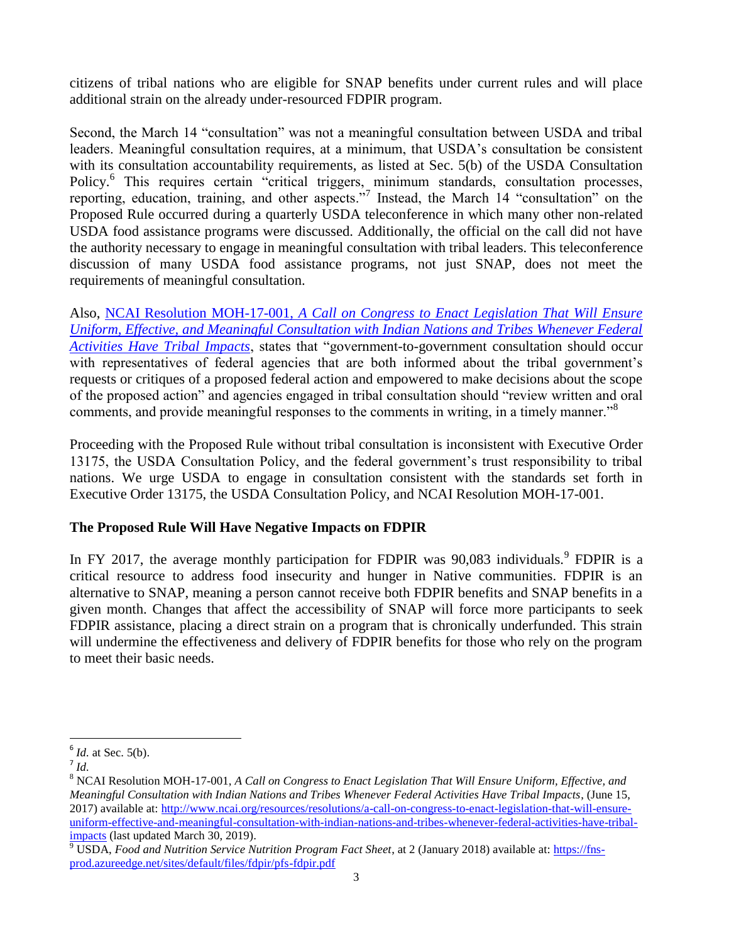citizens of tribal nations who are eligible for SNAP benefits under current rules and will place additional strain on the already under-resourced FDPIR program.

Second, the March 14 "consultation" was not a meaningful consultation between USDA and tribal leaders. Meaningful consultation requires, at a minimum, that USDA's consultation be consistent with its consultation accountability requirements, as listed at Sec. 5(b) of the USDA Consultation Policy.<sup>6</sup> This requires certain "critical triggers, minimum standards, consultation processes, reporting, education, training, and other aspects."<sup>7</sup> Instead, the March 14 "consultation" on the Proposed Rule occurred during a quarterly USDA teleconference in which many other non-related USDA food assistance programs were discussed. Additionally, the official on the call did not have the authority necessary to engage in meaningful consultation with tribal leaders. This teleconference discussion of many USDA food assistance programs, not just SNAP, does not meet the requirements of meaningful consultation.

Also, NCAI Resolution MOH-17-001, *[A Call on Congress to Enact Legislation That Will Ensure](http://www.ncai.org/attachments/Resolution_tNWJMIbVBsWNXwnaUYCgwjpsJImEmxzkuQZYPcJxjDIxJpMrqJR_MOH-17-001.pdf)  [Uniform, Effective, and Meaningful Consultation with Indian Nations and Tribes Whenever Federal](http://www.ncai.org/attachments/Resolution_tNWJMIbVBsWNXwnaUYCgwjpsJImEmxzkuQZYPcJxjDIxJpMrqJR_MOH-17-001.pdf)  [Activities Have Tribal Impacts](http://www.ncai.org/attachments/Resolution_tNWJMIbVBsWNXwnaUYCgwjpsJImEmxzkuQZYPcJxjDIxJpMrqJR_MOH-17-001.pdf)*, states that "government-to-government consultation should occur with representatives of federal agencies that are both informed about the tribal government's requests or critiques of a proposed federal action and empowered to make decisions about the scope of the proposed action" and agencies engaged in tribal consultation should "review written and oral comments, and provide meaningful responses to the comments in writing, in a timely manner.<sup>38</sup>

Proceeding with the Proposed Rule without tribal consultation is inconsistent with Executive Order 13175, the USDA Consultation Policy, and the federal government's trust responsibility to tribal nations. We urge USDA to engage in consultation consistent with the standards set forth in Executive Order 13175, the USDA Consultation Policy, and NCAI Resolution MOH-17-001.

### **The Proposed Rule Will Have Negative Impacts on FDPIR**

In FY 2017, the average monthly participation for FDPIR was  $90,083$  individuals.<sup>9</sup> FDPIR is a critical resource to address food insecurity and hunger in Native communities. FDPIR is an alternative to SNAP, meaning a person cannot receive both FDPIR benefits and SNAP benefits in a given month. Changes that affect the accessibility of SNAP will force more participants to seek FDPIR assistance, placing a direct strain on a program that is chronically underfunded. This strain will undermine the effectiveness and delivery of FDPIR benefits for those who rely on the program to meet their basic needs.

 $\overline{a}$  $<sup>6</sup>$  *Id.* at Sec. 5(b).</sup>

<sup>7</sup> *Id.*

<sup>8</sup> NCAI Resolution MOH-17-001, *A Call on Congress to Enact Legislation That Will Ensure Uniform, Effective, and Meaningful Consultation with Indian Nations and Tribes Whenever Federal Activities Have Tribal Impacts*, (June 15, 2017) available at: [http://www.ncai.org/resources/resolutions/a-call-on-congress-to-enact-legislation-that-will-ensure](http://www.ncai.org/resources/resolutions/a-call-on-congress-to-enact-legislation-that-will-ensure-uniform-effective-and-meaningful-consultation-with-indian-nations-and-tribes-whenever-federal-activities-have-tribal-impacts)[uniform-effective-and-meaningful-consultation-with-indian-nations-and-tribes-whenever-federal-activities-have-tribal](http://www.ncai.org/resources/resolutions/a-call-on-congress-to-enact-legislation-that-will-ensure-uniform-effective-and-meaningful-consultation-with-indian-nations-and-tribes-whenever-federal-activities-have-tribal-impacts)[impacts](http://www.ncai.org/resources/resolutions/a-call-on-congress-to-enact-legislation-that-will-ensure-uniform-effective-and-meaningful-consultation-with-indian-nations-and-tribes-whenever-federal-activities-have-tribal-impacts) (last updated March 30, 2019).

<sup>&</sup>lt;sup>9</sup> USDA, *Food and Nutrition Service Nutrition Program Fact Sheet*, at 2 (January 2018) available at: *https://fns*[prod.azureedge.net/sites/default/files/fdpir/pfs-fdpir.pdf](https://fns-prod.azureedge.net/sites/default/files/fdpir/pfs-fdpir.pdf)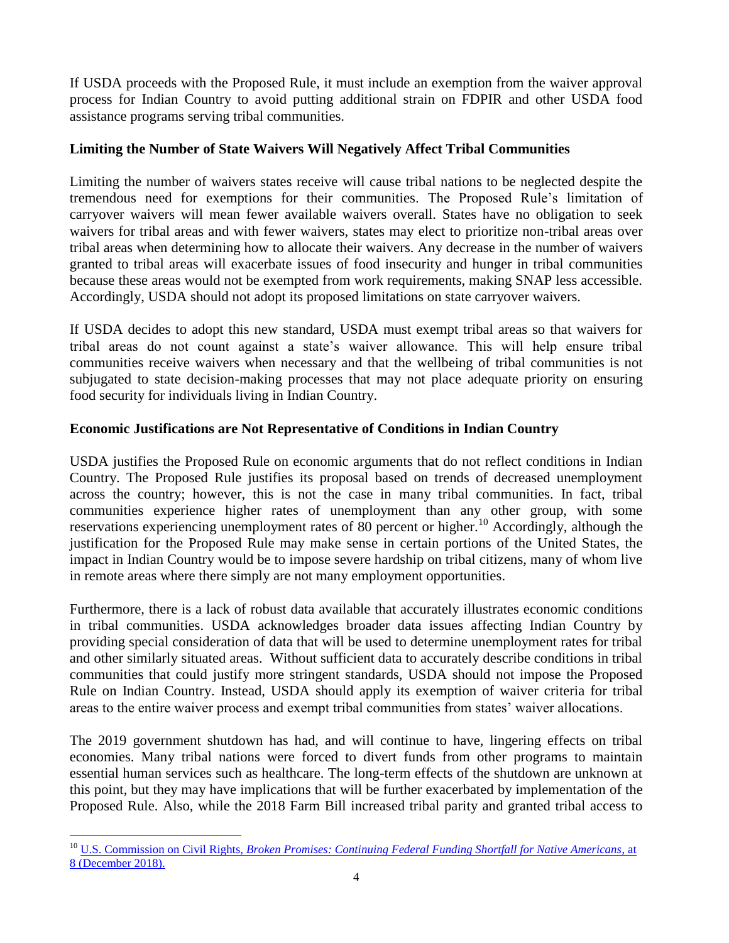If USDA proceeds with the Proposed Rule, it must include an exemption from the waiver approval process for Indian Country to avoid putting additional strain on FDPIR and other USDA food assistance programs serving tribal communities.

### **Limiting the Number of State Waivers Will Negatively Affect Tribal Communities**

Limiting the number of waivers states receive will cause tribal nations to be neglected despite the tremendous need for exemptions for their communities. The Proposed Rule's limitation of carryover waivers will mean fewer available waivers overall. States have no obligation to seek waivers for tribal areas and with fewer waivers, states may elect to prioritize non-tribal areas over tribal areas when determining how to allocate their waivers. Any decrease in the number of waivers granted to tribal areas will exacerbate issues of food insecurity and hunger in tribal communities because these areas would not be exempted from work requirements, making SNAP less accessible. Accordingly, USDA should not adopt its proposed limitations on state carryover waivers.

If USDA decides to adopt this new standard, USDA must exempt tribal areas so that waivers for tribal areas do not count against a state's waiver allowance. This will help ensure tribal communities receive waivers when necessary and that the wellbeing of tribal communities is not subjugated to state decision-making processes that may not place adequate priority on ensuring food security for individuals living in Indian Country.

# **Economic Justifications are Not Representative of Conditions in Indian Country**

USDA justifies the Proposed Rule on economic arguments that do not reflect conditions in Indian Country. The Proposed Rule justifies its proposal based on trends of decreased unemployment across the country; however, this is not the case in many tribal communities. In fact, tribal communities experience higher rates of unemployment than any other group, with some reservations experiencing unemployment rates of  $\overline{80}$  percent or higher.<sup>10</sup> Accordingly, although the justification for the Proposed Rule may make sense in certain portions of the United States, the impact in Indian Country would be to impose severe hardship on tribal citizens, many of whom live in remote areas where there simply are not many employment opportunities.

Furthermore, there is a lack of robust data available that accurately illustrates economic conditions in tribal communities. USDA acknowledges broader data issues affecting Indian Country by providing special consideration of data that will be used to determine unemployment rates for tribal and other similarly situated areas. Without sufficient data to accurately describe conditions in tribal communities that could justify more stringent standards, USDA should not impose the Proposed Rule on Indian Country. Instead, USDA should apply its exemption of waiver criteria for tribal areas to the entire waiver process and exempt tribal communities from states' waiver allocations.

The 2019 government shutdown has had, and will continue to have, lingering effects on tribal economies. Many tribal nations were forced to divert funds from other programs to maintain essential human services such as healthcare. The long-term effects of the shutdown are unknown at this point, but they may have implications that will be further exacerbated by implementation of the Proposed Rule. Also, while the 2018 Farm Bill increased tribal parity and granted tribal access to

 $\overline{a}$ 

<sup>&</sup>lt;sup>10</sup> U.S. Commission on Civil Rights, *Broken <u>Promises: Continuing Federal Funding Shortfall for Native Americans*, at</u> [8 \(December 2018\).](https://www.usccr.gov/pubs/2018/12-20-Broken-Promises.pdf)